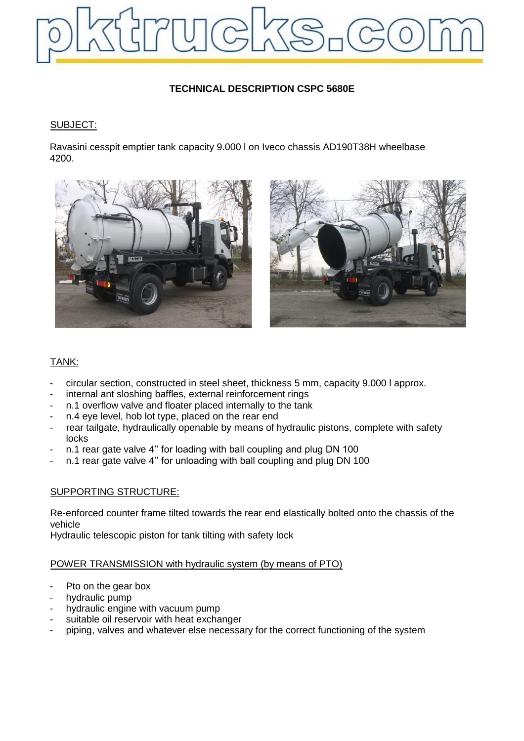

# **TECHNICAL DESCRIPTION CSPC 5680E**

### SUBJECT:

Ravasini cesspit emptier tank capacity 9.000 l on Iveco chassis AD190T38H wheelbase 4200.





## TANK:

- circular section, constructed in steel sheet, thickness 5 mm, capacity 9.000 l approx.
- internal ant sloshing baffles, external reinforcement rings
- n.1 overflow valve and floater placed internally to the tank
- n.4 eye level, hob lot type, placed on the rear end
- rear tailgate, hydraulically openable by means of hydraulic pistons, complete with safety locks
- n.1 rear gate valve 4'' for loading with ball coupling and plug DN 100
- n.1 rear gate valve 4'' for unloading with ball coupling and plug DN 100

#### SUPPORTING STRUCTURE:

Re-enforced counter frame tilted towards the rear end elastically bolted onto the chassis of the vehicle

Hydraulic telescopic piston for tank tilting with safety lock

#### POWER TRANSMISSION with hydraulic system (by means of PTO)

- Pto on the gear box
- hydraulic pump
- hydraulic engine with vacuum pump
- suitable oil reservoir with heat exchanger
- piping, valves and whatever else necessary for the correct functioning of the system